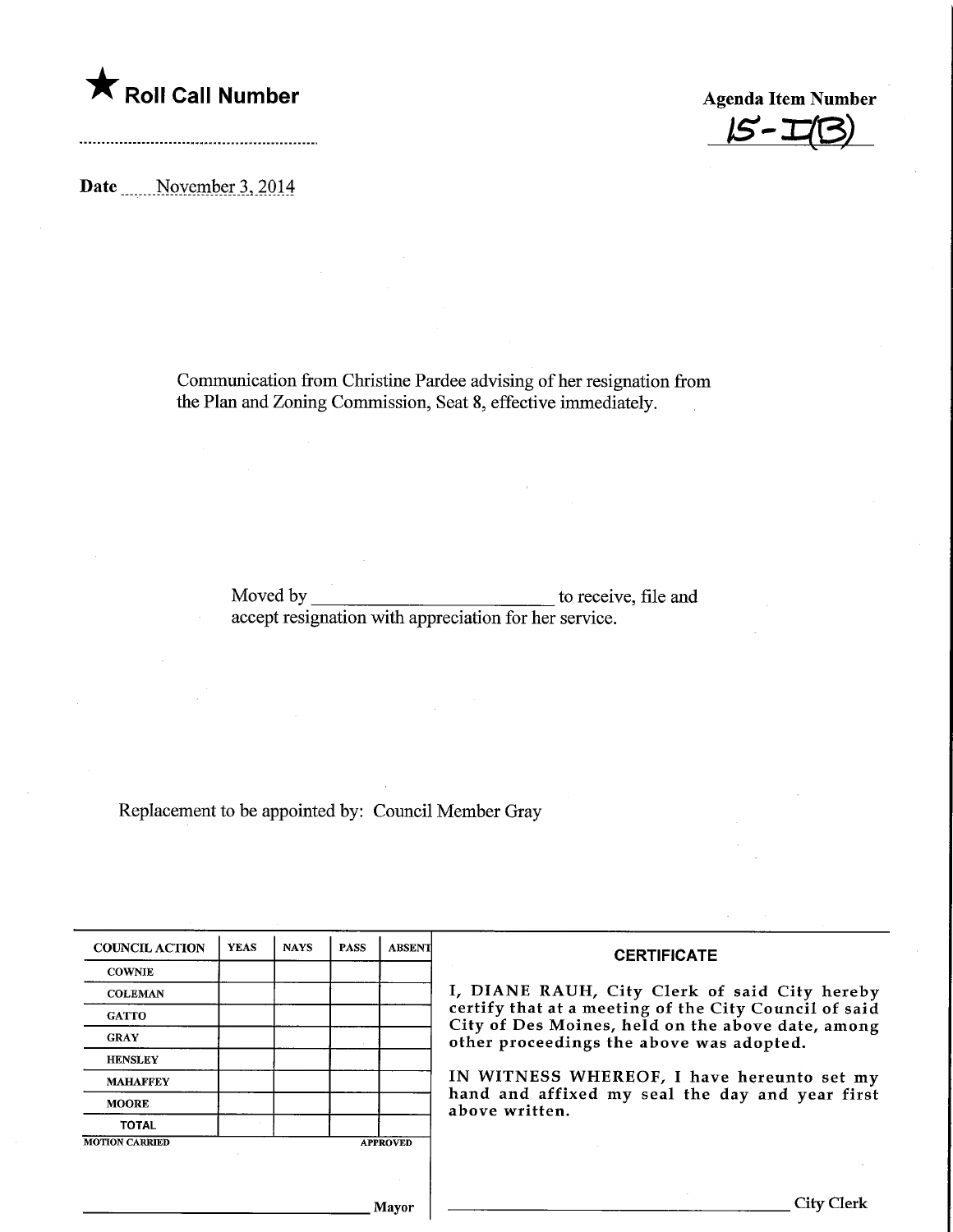

 $15 - 1$ 

Date \_\_\_\_\_ November 3, 2014

Communication from Christine Pardee advising of her resignation from the Plan and Zoning Commission, Seat 8, effective immediately.

> Moved by accept resignation with appreciation for her service. to receive, file and

Replacement to be appointed by: Council Member Gray

| <b>COUNCIL ACTION</b> | <b>YEAS</b> | <b>NAYS</b> | <b>PASS</b> | <b>ABSENT</b>   | <b>CERTIFICATE</b><br>I, DIANE RAUH, City Clerk of said City hereby<br>certify that at a meeting of the City Council of said<br>City of Des Moines, held on the above date, among<br>other proceedings the above was adopted.<br>IN WITNESS WHEREOF, I have hereunto set my<br>hand and affixed my seal the day and year first<br>above written. |
|-----------------------|-------------|-------------|-------------|-----------------|--------------------------------------------------------------------------------------------------------------------------------------------------------------------------------------------------------------------------------------------------------------------------------------------------------------------------------------------------|
| <b>COWNIE</b>         |             |             |             |                 |                                                                                                                                                                                                                                                                                                                                                  |
| <b>COLEMAN</b>        |             |             |             |                 |                                                                                                                                                                                                                                                                                                                                                  |
| <b>GATTO</b>          |             |             |             |                 |                                                                                                                                                                                                                                                                                                                                                  |
| <b>GRAY</b>           |             |             |             |                 |                                                                                                                                                                                                                                                                                                                                                  |
| <b>HENSLEY</b>        |             |             |             |                 |                                                                                                                                                                                                                                                                                                                                                  |
| <b>MAHAFFEY</b>       |             |             |             |                 |                                                                                                                                                                                                                                                                                                                                                  |
| <b>MOORE</b>          |             |             |             |                 |                                                                                                                                                                                                                                                                                                                                                  |
| <b>TOTAL</b>          |             |             |             |                 |                                                                                                                                                                                                                                                                                                                                                  |
| <b>MOTION CARRIED</b> |             |             |             | <b>APPROVED</b> |                                                                                                                                                                                                                                                                                                                                                  |
|                       |             |             |             |                 |                                                                                                                                                                                                                                                                                                                                                  |
|                       |             |             |             |                 |                                                                                                                                                                                                                                                                                                                                                  |
| Mayor                 |             |             |             |                 | City Clerl                                                                                                                                                                                                                                                                                                                                       |